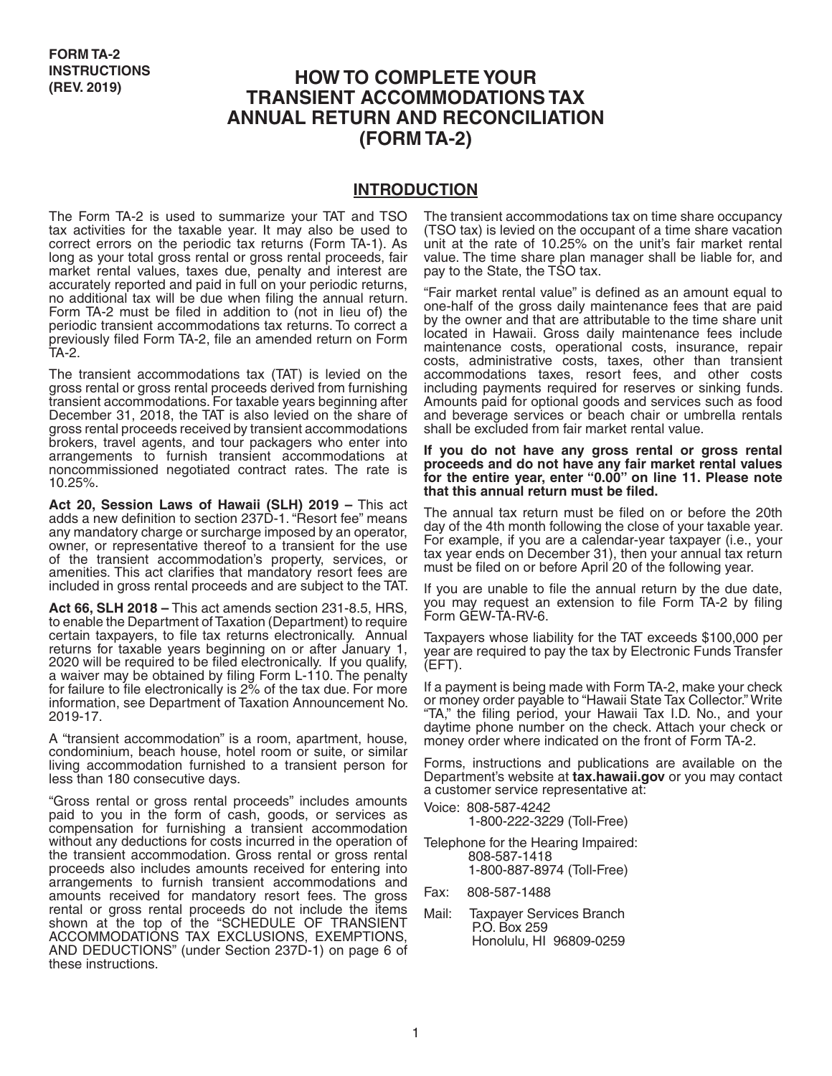# **HOW TO COMPLETE YOUR TRANSIENT ACCOMMODATIONS TAX ANNUAL RETURN AND RECONCILIATION (FORM TA-2)**

#### **INTRODUCTION**

The Form TA-2 is used to summarize your TAT and TSO tax activities for the taxable year. It may also be used to correct errors on the periodic tax returns (Form TA-1). As long as your total gross rental or gross rental proceeds, fair market rental values, taxes due, penalty and interest are accurately reported and paid in full on your periodic returns, no additional tax will be due when filing the annual return. Form TA-2 must be filed in addition to (not in lieu of) the periodic transient accommodations tax returns. To correct a previously filed Form TA-2, file an amended return on Form TA-2.

The transient accommodations tax (TAT) is levied on the gross rental or gross rental proceeds derived from furnishing transient accommodations. For taxable years beginning after December 31, 2018, the TAT is also levied on the share of gross rental proceeds received by transient accommodations brokers, travel agents, and tour packagers who enter into arrangements to furnish transient accommodations at noncommissioned negotiated contract rates. The rate is 10.25%.

**Act 20, Session Laws of Hawaii (SLH) 2019 –** This act adds a new definition to section 237D-1. "Resort fee" means any mandatory charge or surcharge imposed by an operator, owner, or representative thereof to a transient for the use of the transient accommodation's property, services, or amenities. This act clarifies that mandatory resort fees are included in gross rental proceeds and are subject to the TAT.

**Act 66, SLH 2018 –** This act amends section 231-8.5, HRS, to enable the Department of Taxation (Department) to require certain taxpayers, to file tax returns electronically. Annual returns for taxable years beginning on or after January 1, 2020 will be required to be filed electronically. If you qualify, a waiver may be obtained by filing Form L-110. The penalty for failure to file electronically is 2% of the tax due. For more information, see Department of Taxation Announcement No. 2019-17.

A "transient accommodation" is a room, apartment, house, condominium, beach house, hotel room or suite, or similar living accommodation furnished to a transient person for less than 180 consecutive days.

"Gross rental or gross rental proceeds" includes amounts paid to you in the form of cash, goods, or services as compensation for furnishing a transient accommodation without any deductions for costs incurred in the operation of the transient accommodation. Gross rental or gross rental proceeds also includes amounts received for entering into arrangements to furnish transient accommodations and amounts received for mandatory resort fees. The gross rental or gross rental proceeds do not include the items shown at the top of the "SCHEDULE OF TRANSIENT ACCOMMODATIONS TAX EXCLUSIONS, EXEMPTIONS, AND DEDUCTIONS" (under Section 237D-1) on page 6 of these instructions.

The transient accommodations tax on time share occupancy (TSO tax) is levied on the occupant of a time share vacation unit at the rate of 10.25% on the unit's fair market rental value. The time share plan manager shall be liable for, and pay to the State, the TSO tax.

"Fair market rental value" is defined as an amount equal to one-half of the gross daily maintenance fees that are paid by the owner and that are attributable to the time share unit located in Hawaii. Gross daily maintenance fees include maintenance costs, operational costs, insurance, repair costs, administrative costs, taxes, other than transient accommodations taxes, resort fees, and other costs including payments required for reserves or sinking funds. Amounts paid for optional goods and services such as food and beverage services or beach chair or umbrella rentals shall be excluded from fair market rental value.

**If you do not have any gross rental or gross rental proceeds and do not have any fair market rental values for the entire year, enter "0.00" on line 11. Please note that this annual return must be filed.** 

The annual tax return must be filed on or before the 20th day of the 4th month following the close of your taxable year. For example, if you are a calendar-year taxpayer (i.e., your tax year ends on December 31), then your annual tax return must be filed on or before April 20 of the following year.

If you are unable to file the annual return by the due date, you may request an extension to file Form TA-2 by filing Form GEW-TA-RV-6.

Taxpayers whose liability for the TAT exceeds \$100,000 per year are required to pay the tax by Electronic Funds Transfer (EFT).

If a payment is being made with Form TA-2, make your check or money order payable to "Hawaii State Tax Collector." Write "TA," the filing period, your Hawaii Tax I.D. No., and your daytime phone number on the check. Attach your check or money order where indicated on the front of Form TA-2.

Forms, instructions and publications are available on the Department's website at **tax.hawaii.gov** or you may contact a customer service representative at:

Voice: 808-587-4242

1-800-222-3229 (Toll-Free)

Telephone for the Hearing Impaired: 808-587-1418 1-800-887-8974 (Toll-Free)

Fax: 808-587-1488

Mail: Taxpayer Services Branch P.O. Box 259 Honolulu, HI 96809-0259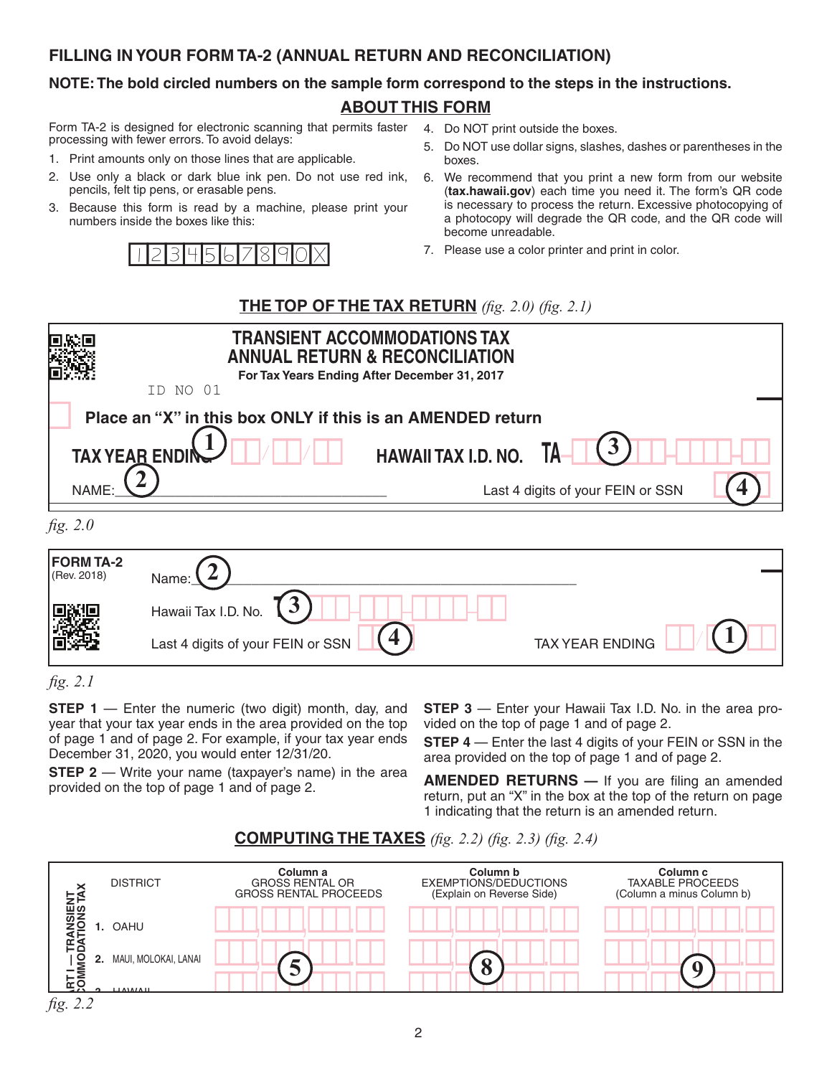### **FILLING IN YOUR FORM TA-2 (ANNUAL RETURN AND RECONCILIATION)**

### **NOTE: The bold circled numbers on the sample form correspond to the steps in the instructions.**

# **ABOUT THIS FORM**

Form TA-2 is designed for electronic scanning that permits faster processing with fewer errors. To avoid delays:

- 1. Print amounts only on those lines that are applicable.
- 2. Use only a black or dark blue ink pen. Do not use red ink, pencils, felt tip pens, or erasable pens.
- 3. Because this form is read by a machine, please print your numbers inside the boxes like this:



- 4. Do NOT print outside the boxes.
- 5. Do NOT use dollar signs, slashes, dashes or parentheses in the boxes.
- 6. We recommend that you print a new form from our website (**tax.hawaii.gov**) each time you need it. The form's QR code is necessary to process the return. Excessive photocopying of a photocopy will degrade the QR code, and the QR code will become unreadable.
- 7. Please use a color printer and print in color.

# $T$ **HE TOP OF THE TAX RETURN** (fig. 2.0) (fig. 2.1)

|          | NO.<br>01<br>ID.                                                                   | <b>TRANSIENT ACCOMMODATIONS TAX</b><br><b>ANNUAL RETURN &amp; RECONCILIATION</b><br>For Tax Years Ending After December 31, 2017 |                                   |
|----------|------------------------------------------------------------------------------------|----------------------------------------------------------------------------------------------------------------------------------|-----------------------------------|
|          | Place an "X" in this box ONLY if this is an AMENDED return<br><b>TAX YEAR ENDI</b> | <b>HAWAII TAX I.D. NO.</b>                                                                                                       | TA                                |
| NAME:    |                                                                                    |                                                                                                                                  | Last 4 digits of your FEIN or SSN |
| fig. 2.0 |                                                                                    |                                                                                                                                  |                                   |

| ., .,                           |                                               |                        |
|---------------------------------|-----------------------------------------------|------------------------|
| <b>FORM TA-2</b><br>(Rev. 2018) | Name:<br>◢                                    |                        |
|                                 | Hawaii Tax I.D. No.<br>J                      |                        |
|                                 | $\angle$<br>Last 4 digits of your FEIN or SSN | <b>TAX YEAR ENDING</b> |
| $\sim$ $\sim$ $\sim$ $\sim$     |                                               |                        |

 $\frac{31}{100}$  and  $\frac{31}{100}$  and  $\frac{31}{100}$  and  $\frac{31}{100}$  and  $\frac{31}{100}$  and  $\frac{31}{100}$  and  $\frac{31}{100}$  and  $\frac{31}{100}$  and  $\frac{31}{100}$  and  $\frac{31}{100}$  and  $\frac{31}{100}$  and  $\frac{31}{100}$  and  $\frac{31}{100}$  and or pago T and or pago 2.1 or oxample, in your law your onder **STEP 4** — Enter the la<br>December 31, 2020, you would enter 12/31/20. **S**<br>yed<br>D<br>pi e<br>PC<br>ON<br>O **STEP 1** — Enter the numeric (two digit) month, day, and **STEP 3** — Enter year that your tax year ends in the area provided on the top wided on the top<br>of page 1 and of page 2. For example, if your tax year ends **STEP 4** — Fnte **TRANSIENT ACCOMMODATIONS TAX R**<br>**TI**<br>Per<br>O

provided on the top of page 1 and of page 2. **The right of the TVM**<br>return, put an "X" in th<br>1 indicating that the re **2** - Write your name (taxpayer's name) in the area **AMENDED RETURNS** - If you are filing an amended led on the top of page 1 and of page 2. **STEP 2** — Write your name (taxpayer's name) in the area **AMENDED RETUR**<br>provided on the top of page 1 and of page 2.

**19. IDEP 3** A Enter your Hawaii Tax I.D. No. in the area pro-<br>**19. I** wided on the top of page 1 and of page 2.  $\bullet$  **10**  $\bullet$  **10**  $\bullet$  **10**  $\bullet$  **10**  $\bullet$  **10**  $\bullet$  **10**  $\bullet$  **1**  $\bullet$  **1**  $\bullet$  **0**  $\bullet$  **1**  $\bullet$  **0**  $\bullet$  **2**  $\bullet$  **1**  $\bullet$  **1**  $\bullet$  **1**  $\bullet$  **1**  $\bullet$  **1**  $\bullet$  **1**  $\bullet$  **1**  $\bullet$  **1**  $\bullet$  **1**  $\bullet$  **1**  $\bullet$  **1**  $\bullet$  **1** Tax<br>of n

**STEP 4** — Enter the last 4 digits of your FEIN or SSN in the area provided on the top of page 1 and of page 2.  $SIEP 4$  Enter the last 4 digits of your FEIN or SSN in the mber 31, 2020, you would enter  $12/31/20$ .

**8.** Better in the set of the set of the set of the set of the set of the set of the set of the set of the set of the set of the set of the set of the set of the set of the set of the set of the set of the set of the set o  $\frac{1}{2}$  is the top of the return on page<br>1 indicating that the return is an amended return. put and to pay the tom of payable. The top of the return on page in the top of the return on page in the box at the top of the return on page on monetary and the retail to: HAWAII DEPARTMENT OF TAXATION, P.O. BOX 2430, P.O. BOX 2430, P.O. BOX 2430, P.O. BOX 2430, P.O. BOX 2430, P.O. BOX 2430, P.O. BOX 2430, P.O. BOX 2430, P.O. BOX 2430, P.O. BOX 2430, P.O. BOX 2



# **COMPUTING THE TAXES** (*Jtg. 2.2)* (*Jtg. 2.3)* (*Jtg. 2.*

<sup>(</sup>Rev. 2018) *fig. 2.1*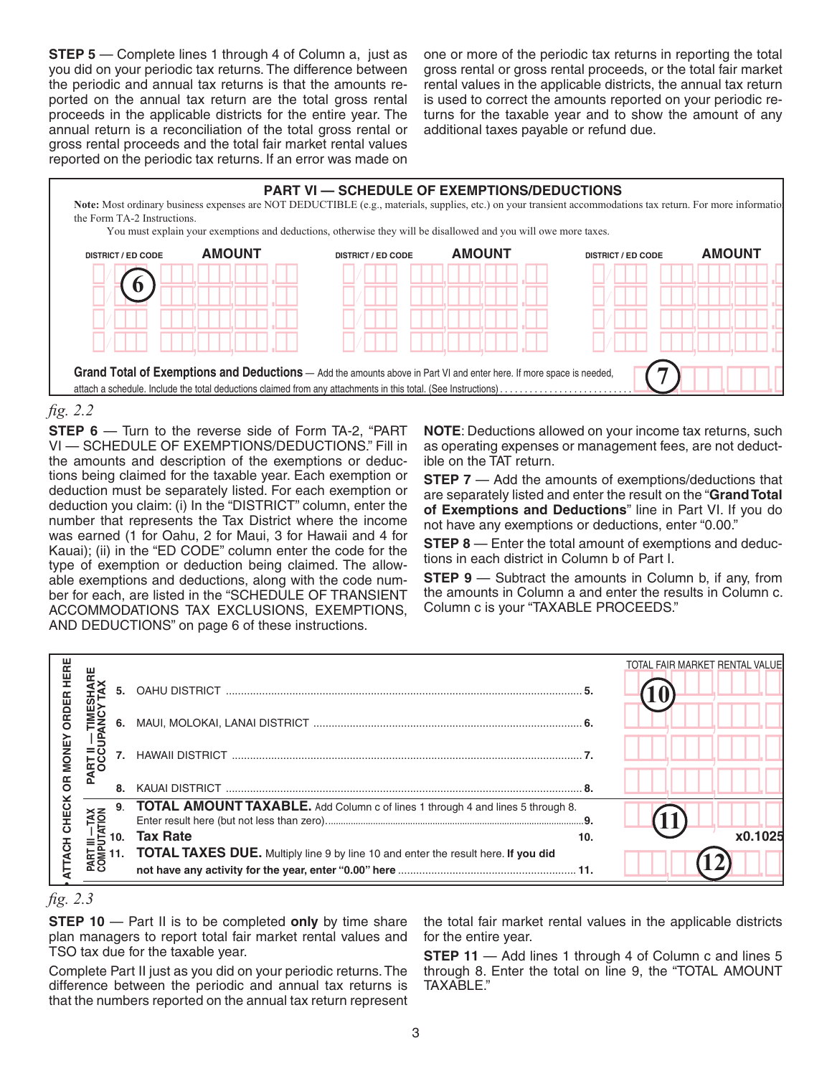**STEP 5** — Complete lines 1 through 4 of Column a, just as you did on your periodic tax returns. The difference between  $\;$  gross rental or gross rental pro the periodic and annual tax returns is that the amounts reported on the annual tax return are the total gross rental is used to correct the amount ported proceeds in the applicable districts for the entire year. The turns for the taxable yeoceeds in the applicable districts for the entire year. The turns for the taxable y proceeds in the applicable districts for the entitle year. The Trains for the taxable year and proceeds in the<br>annual return is a reconciliation of the total gross rental or additional taxes payable or re gross rental proceeds and the total fair market rental values gross remar proceeds and the total fair market remar values<br>reported on the periodic tax returns. If an error was made on is a reconciliation or the total gross rental or additional taxes payable or i **RT**<br>Rid<br>Bu<br>Ral

one or more of the periodic tax returns in reporting the total **!!!**,**!!!**,**!!!**.**!! !!!**,**!!!**,**!!!**.**!!** one or more or the penoalc tax returns in reporting the total<br>gross rental or gross rental proceeds, or the total fair market<br>rental values in the emplischle districts, the employmentum rental values in the applicable districts, the annual tax return is used to correct the amounts reported on your periodic returns for the taxable year and to show the amount of any additional taxes payable or refund due.



#### $E.E.$ *fig. 2.2*

**STEP 6** — Turn to the reverse side of Form TA-2, "PART **NOTE**: Deductions allowed on you VI — SCHEDULE OF EXEMPTIONS/DEDUCTIONS." Fill in the amounts and description of the exemptions or deduc-<br>the amounts and description of the exemptions or deduc-<br>ible on the TAT return. tions being claimed for the taxable year. Each exemption or **STEP 7** — Add deduction must be separately listed. For each exemption or  $\frac{1}{2}$  are separately listed and enter the result on the "Grand 1" deduction you claim: (i) In the "DISTRICT" column, enter the **of Exemptions and Deductions**" line in Part VI number that represents the Tax District where the income or **Exemption** It represents the rax bistrict where the meding and have any exemptions or deductions, enter "0.00."<br>1. (1 for Oahu, 2 for Maui, 3 for Hawaii and 4 for **STEP 8** — Enter the total amount of exemptions and deduc-<br>in the "ED Compliant of accomplish soligion She exemptions and deductions, along with the code num-<br>her fer each, are listed in the "SCHEDLILE OF TRANSIENT ber for each, are listed in the "SCHEDULE OF TRANSIENT<br>ACCOMMODATIONS TAX EXCLUSIONS, EXEMPTIONS, ACCOMMODATIONS TAX EXCLUSIONS, EXEMPTIONS, AND DEDUCTIONS" on page 6 of these instructions. mention or deduction being claimed. The allow-<br>tions and deductions, along with the code num-<br>STEP 9 — Subtract the amounts in Column b, if any, from was earned (1 for Oahu, 2 for Maui, 3 for Hawaii and 4 for<br>**Kauai)**: (ii) in the "ED CODE" column opter the code for the Kauai); (ii) in the "ED CODE" column enter the code for the type of exemption or deduction being claimed. The allow-<br>able exemptions and deductions, along with the code num-**4.** Kauai **4** Kauai **4** Kauai **4** Kauai **4** Kauai **4** Kauai **4** Kauai **4** Kauai 14 Kauai 14 Kauai 14 Kauai 14 Kauai 14 Kauai 14 Kauai 14 Kauai 14 Kauai 14 Kauai 14 Kauai 14 Kauai 14 Kauai 14 Kauai 14 Kauai 14 Kauai 14 Kau lid<br>Part<br>Fransi<br>N ex<br>en<br>:<br>: nı<br>tl<br>ii)

- Turn to the reverse side of Form TA-2, "PART **NOTE**: Deductions allowed on your income tax returns, such<br>HEDULE OF EXEMPTIONS/DEDUCTIONS." Fill in as operating expenses or management fees, are not deduct-<br>nts and descrip as operating expenses or management fees, are not deduct-**4** ible on the TAT return.

**STEP 7** — Add the amounts of exemptions/deductions that st be separately listed. For each exemption or are separately listed and enter the result on the "**Grand Total** you claim: (i) in the "DISTRICT" column, enter the **of Exemptions and Deductions**" line in Part VI. If you do not have any exemptions or deductions, enter "0.00."

**Description (HRS) ED Code Description (HRS) ED Code Description (HRS) ED Code** tions in each district in Column b of Part I.

(§237D-3(3)) .................................................140 (§237D-3(4)) .................................................180 h, are listed in the "SCHEDULE OF TRANSIENT the amounts in Column a and enter the results in Column c.<br>)DATIONS\_TAX\_EXCLUSIONS,\_EXEMPTIONS,\_\_Column c is your "TAXABLE PROCEEDS." the amounts in Column a and enter the results in Column c.<br>Column c is your "TAXABLE PROCEEDS." Subtract the amounts in Column b, if in Column a and enter the results in (

|             |    |                                                                                                                                                                                                                                            | TOTAL FAIR MARKET RENTAL VALUE |
|-------------|----|--------------------------------------------------------------------------------------------------------------------------------------------------------------------------------------------------------------------------------------------|--------------------------------|
|             |    |                                                                                                                                                                                                                                            |                                |
|             |    |                                                                                                                                                                                                                                            |                                |
| <b>MONE</b> |    |                                                                                                                                                                                                                                            |                                |
| 6R          | 8. |                                                                                                                                                                                                                                            |                                |
| CHEC        |    | 9. TOTAL AMOUNT TAXABLE. Add Column c of lines 1 through 4 and lines 5 through 8.                                                                                                                                                          |                                |
|             |    | 10.                                                                                                                                                                                                                                        | x0.1025                        |
|             |    |                                                                                                                                                                                                                                            |                                |
|             |    | $E = 10$ . Tax Rate<br>$E = 11$ . TOTAL TAXES DUE. Multiply line 9 by line 10 and enter the result here. If you did<br>$E = 11$ . TOTAL TAXES DUE. Multiply line 9 by line 10 and enter the result here. If you did<br>$E = 0$ not have an |                                |



**STEP 10** — Part II is to be completed **only** by time share plan managers to report total fair market rental values and TSO tax due for the taxable year.

Complete Part II just as you did on your periodic returns. The through 8. Enter the total o that the numbers reported on the annual tax return represent **PART ICE**<br>ADD ADD<br>PART ICE<br>PART ICE difference between the periodic and annual tax returns is

values and for the entire year. e the total fair market rental values in the applicable districts<br>d for the entire year. **13** the total fair market rental values in the applicable districts

> **STEP 11** — Add lines 1 through 4 of Column c and lines 5<br>through 8. Enter the total on line 9, the "TOTAL AMOUNT **STEP 11** — Add lines 1 through 4 of Column c and lines 5<br>through 8. Enter the total on line 9, the "TOTAL AMOUNT TAXABLE."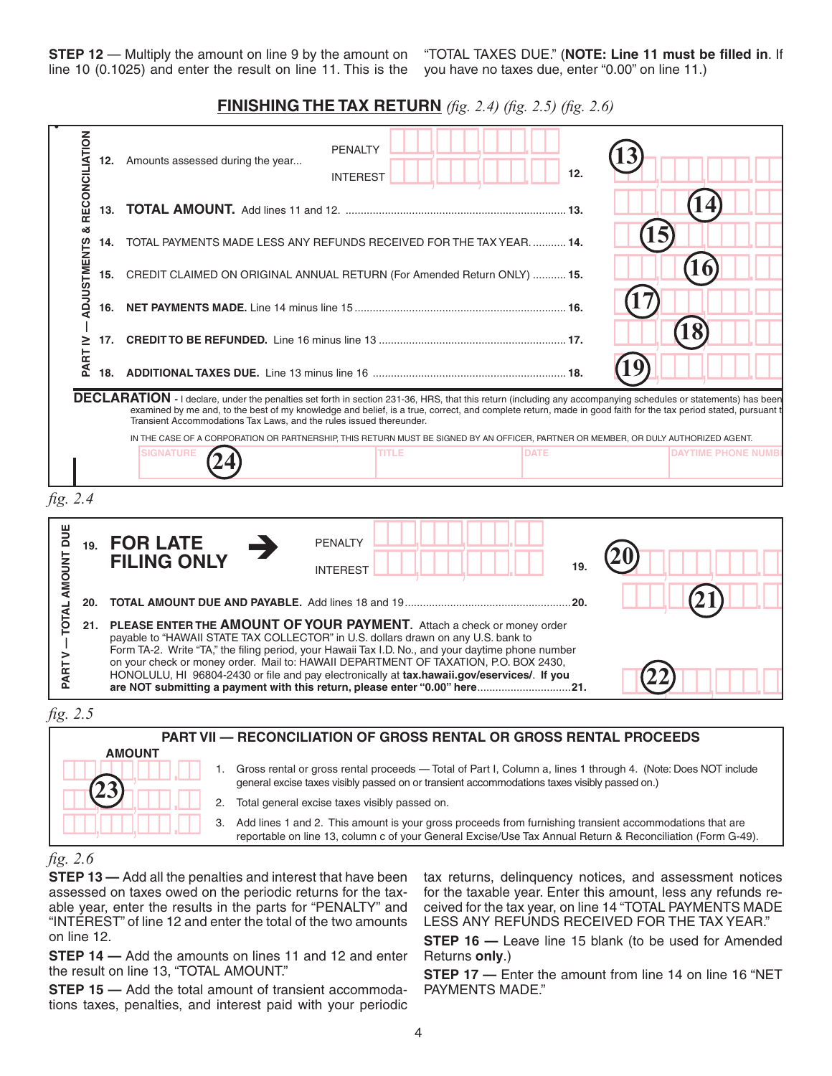**STEP 12** — Multiply the amount on line 9 by the amount on "TOTAL TAXES DUE." (I Enter result here (but not less than zero)........................................................................................................**9. •**<br> **•**<br>
• **P**<br>1 **1**<br>
<sup>2</sup>

line 10 (0.1025) and enter the result on line 11. This is the you have no taxes due, enter "0.00" on line 11.) **!!!**,**!!!**,**!!!**.**!!** "TOTAL TAXES DUE." (**NOTE: Line 11 must be filled in**. If nt on "TOTAL TAXES DUE." (**NOTE: Line 11 m**<br>s the you have no taxes due, enter "0.00" on lin **20** you have no taxes due, enter "0.00" on line 11.)

#### **FINISHING THE TAX RETURN** (fig. 2.4) (fig. 2.5) (fig. 2.6) **not have a life than the long** (i.e. 2.4) (i.e. 2.5) (i.e. **FINISHING THE TAX RETIIRN** (fig. 2.4) (fig. 2.5) (fig. 2.6)

|                                                       |     | line 10 (0.1025) and enter the result on line 11. This is the you have no taxes due, enter "0.00" on line 11.)                                                                                                                                                                                                                                                                                                                                                                                                                               | <b>FINISHING THE TAX RETURN</b> (fig. 2.4) (fig. 2.5) (fig. 2.6) |       |             |      |    |                  |                           |
|-------------------------------------------------------|-----|----------------------------------------------------------------------------------------------------------------------------------------------------------------------------------------------------------------------------------------------------------------------------------------------------------------------------------------------------------------------------------------------------------------------------------------------------------------------------------------------------------------------------------------------|------------------------------------------------------------------|-------|-------------|------|----|------------------|---------------------------|
| RECONCILIATION                                        |     | 12. Amounts assessed during the year                                                                                                                                                                                                                                                                                                                                                                                                                                                                                                         | <b>PENALTY</b><br><b>INTEREST</b>                                |       |             | 12.  |    |                  |                           |
|                                                       | 13. |                                                                                                                                                                                                                                                                                                                                                                                                                                                                                                                                              |                                                                  |       |             |      |    | $\boldsymbol{4}$ |                           |
| ×                                                     | 14. | TOTAL PAYMENTS MADE LESS ANY REFUNDS RECEIVED FOR THE TAX YEAR.  14.                                                                                                                                                                                                                                                                                                                                                                                                                                                                         |                                                                  |       |             |      |    | 15               |                           |
| <b>ADJUSTMENTS</b>                                    | 15. | CREDIT CLAIMED ON ORIGINAL ANNUAL RETURN (For Amended Return ONLY)  15.                                                                                                                                                                                                                                                                                                                                                                                                                                                                      |                                                                  |       |             |      |    | 16               |                           |
|                                                       | 16. |                                                                                                                                                                                                                                                                                                                                                                                                                                                                                                                                              |                                                                  |       |             |      |    |                  |                           |
| ≧                                                     |     |                                                                                                                                                                                                                                                                                                                                                                                                                                                                                                                                              |                                                                  |       |             |      |    | $\bf 18$         |                           |
| PART                                                  |     |                                                                                                                                                                                                                                                                                                                                                                                                                                                                                                                                              |                                                                  |       |             |      | 19 |                  |                           |
|                                                       |     | DECLARATION - I declare, under the penalties set forth in section 231-36, HRS, that this return (including any accompanying schedules or statements) has been<br>examined by me and, to the best of my knowledge and belief, is a true, correct, and complete return, made in good faith for the tax period stated, pursuant t<br>Transient Accommodations Tax Laws, and the rules issued thereunder.<br>IN THE CASE OF A CORPORATION OR PARTNERSHIP, THIS RETURN MUST BE SIGNED BY AN OFFICER, PARTNER OR MEMBER, OR DULY AUTHORIZED AGENT. |                                                                  |       |             |      |    |                  |                           |
|                                                       |     | <b>SIGNATURE</b>                                                                                                                                                                                                                                                                                                                                                                                                                                                                                                                             |                                                                  | TITLE | <b>DATE</b> |      |    |                  | <b>DAYTIME PHONE NUMB</b> |
|                                                       |     | 19. FOR LATE<br><b>FILING ONLY</b>                                                                                                                                                                                                                                                                                                                                                                                                                                                                                                           | <b>PENALTY</b><br><b>INTEREST</b>                                |       |             | 19.  |    |                  |                           |
| 20.                                                   |     |                                                                                                                                                                                                                                                                                                                                                                                                                                                                                                                                              |                                                                  |       |             | .20. |    |                  |                           |
|                                                       | 21. | <b>PLEASE ENTER THE AMOUNT OF YOUR PAYMENT.</b> Attach a check or money order<br>payable to "HAWAII STATE TAX COLLECTOR" in U.S. dollars drawn on any U.S. bank to<br>Form TA-2. Write "TA," the filing period, your Hawaii Tax I.D. No., and your daytime phone number<br>on your check or money order. Mail to: HAWAII DEPARTMENT OF TAXATION, P.O. BOX 2430,<br>HONOLULU, HI 96804-2430 or file and pay electronically at tax.hawaii.gov/eservices/. If you                                                                               |                                                                  |       |             |      |    |                  |                           |
| fig. 2.4<br>TOTAL AMOUNT DUE<br>><br>PART<br>fig. 2.5 |     |                                                                                                                                                                                                                                                                                                                                                                                                                                                                                                                                              |                                                                  |       |             |      |    |                  |                           |

- **1/2. 2.** Total general excise taxes visibly passed on.
- │││││││││││││││││││││││││ 3. Add lines 1 and 2. This amount is your gross proceeds from furnishing transient accommodations that are<br>reportable on line 13. column c of your General Excise/Use Tax Annual Return & Reconcili **!/!!! !!!**,**!!!**,**!!! .!! 1** transient accommodations that are<br>Il Return & Reconciliation (Form G-49). **!/!!! !!!**,**!!!**,**!!! .!!** reportable on line 13, column c of your General Excise/Use Tax Annual Return & Reconciliation (Form G-49).

#### **!/!!! !!!**,**!!!**,**!!! .!!** *fig. 2.6*

**6**

**!!!**,**!!!**,**!!! .!!**

aboobbodies in taxed once on the periodic fortains for the taxe is the taxable year. Enter the results in the parts for "PENALTY" and ceived for the tax year, on line "INTEREST" of line 12 and enter the total of the two amounts LESS ANY REFUNDS RECEIV **Additional Instructions for Exemptions/Deductions (ED)** on line 12. **!/!!! !!!**,**!!!**,**!!! .!!** ID NO 01 **STEP 13 —** Add all the penalties and interest that have been assessed on taxes owed on the periodic returns for the tax-

For each exemptions/deductions you have claimed, enter: **STEP 14 —** Add the amounts on lines 11 and 12 and enter Geturns only.) the result on line 13, "TOTAL AMOUNT."

**STEP 15 —** Add the total amount of transient accommoda- PAYMENTS MADE." ETTE TO THE ENTERT CORRECTED FOR THE ENTERTY CONTROLLEDUCTION CONTROLLEDUCTION CONTROLLEDUCTION CONTROLLEDUCTION *Example:* Taxpayer A received gross rental proceeds of \$2,000.00 from the Consul General of the Philippines for lodging on Maui. Taxpayer A

**!/!!! !!!**,**!!!**,**!!! .!! !/!!! !!!**,**!!!**,**!!! .!!** Form TA-2 Page 2 of 2 **26** tax returns, delinquency notices, and assessment notices **!!!**,**!!!**,**!!!**.**!!** LESS ANY REFUNDS RECEIVED FOR THE TAX YEAR." *Property and the tax year* and the tax wear, on line 14 "TOTAL PAYMENTS MADE for the taxable year. Enter this amount, less any refunds re-

> **STEP 16 -** Leave line 15 blank (to be used for Amended Returns **only**.)

> **STEP 17 —** Enter the amount from line 14 on line 16 "NET PAYMENTS MADE."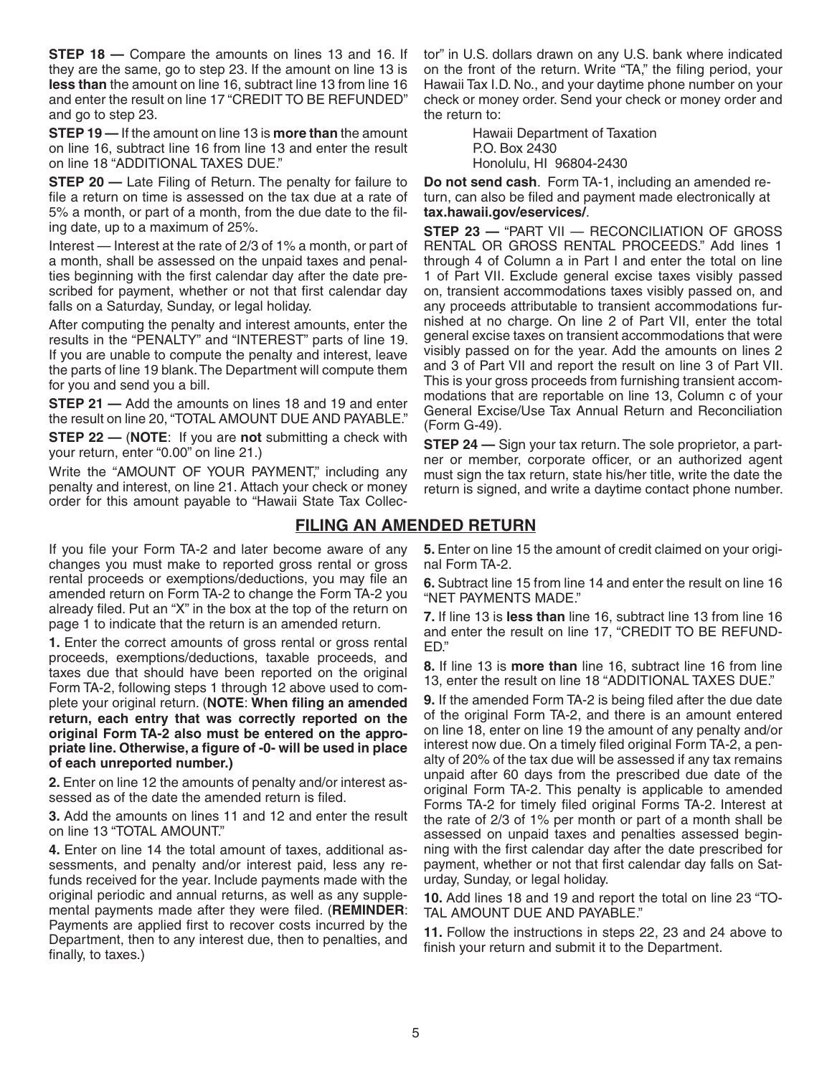**STEP 18 – Compare the amounts on lines 13 and 16. If** they are the same, go to step 23. If the amount on line 13 is **less than** the amount on line 16, subtract line 13 from line 16 and enter the result on line 17 "CREDIT TO BE REFUNDED" and go to step 23.

**STEP 19 —** If the amount on line 13 is **more than** the amount on line 16, subtract line 16 from line 13 and enter the result on line 18 "ADDITIONAL TAXES DUE."

**STEP 20 — Late Filing of Return. The penalty for failure to** file a return on time is assessed on the tax due at a rate of 5% a month, or part of a month, from the due date to the filing date, up to a maximum of 25%.

Interest — Interest at the rate of 2/3 of 1% a month, or part of a month, shall be assessed on the unpaid taxes and penalties beginning with the first calendar day after the date prescribed for payment, whether or not that first calendar day falls on a Saturday, Sunday, or legal holiday.

After computing the penalty and interest amounts, enter the results in the "PENALTY" and "INTEREST" parts of line 19. If you are unable to compute the penalty and interest, leave the parts of line 19 blank. The Department will compute them for you and send you a bill.

**STEP 21** - Add the amounts on lines 18 and 19 and enter the result on line 20, "TOTAL AMOUNT DUE AND PAYABLE."

**STEP 22 —** (**NOTE**: If you are **not** submitting a check with your return, enter "0.00" on line 21.)

Write the "AMOUNT OF YOUR PAYMENT," including any penalty and interest, on line 21. Attach your check or money order for this amount payable to "Hawaii State Tax Collec-

If you file your Form TA-2 and later become aware of any changes you must make to reported gross rental or gross rental proceeds or exemptions/deductions, you may file an amended return on Form TA-2 to change the Form TA-2 you already filed. Put an "X" in the box at the top of the return on page 1 to indicate that the return is an amended return.

**1.** Enter the correct amounts of gross rental or gross rental proceeds, exemptions/deductions, taxable proceeds, and taxes due that should have been reported on the original Form TA-2, following steps 1 through 12 above used to complete your original return. (**NOTE**: **When filing an amended return, each entry that was correctly reported on the original Form TA-2 also must be entered on the appropriate line. Otherwise, a figure of -0- will be used in place of each unreported number.)**

**2.** Enter on line 12 the amounts of penalty and/or interest assessed as of the date the amended return is filed.

**3.** Add the amounts on lines 11 and 12 and enter the result on line 13 "TOTAL AMOUNT."

**4.** Enter on line 14 the total amount of taxes, additional assessments, and penalty and/or interest paid, less any refunds received for the year. Include payments made with the original periodic and annual returns, as well as any supplemental payments made after they were filed. (**REMINDER**: Payments are applied first to recover costs incurred by the Department, then to any interest due, then to penalties, and finally, to taxes.)

tor" in U.S. dollars drawn on any U.S. bank where indicated on the front of the return. Write "TA," the filing period, your Hawaii Tax I.D. No., and your daytime phone number on your check or money order. Send your check or money order and the return to:

> Hawaii Department of Taxation P.O. Box 2430 Honolulu, HI 96804-2430

**Do not send cash**. Form TA-1, including an amended return, can also be filed and payment made electronically at **tax.hawaii.gov/eservices/**.

**STEP 23 —** "PART VII — RECONCILIATION OF GROSS RENTAL OR GROSS RENTAL PROCEEDS." Add lines 1 through 4 of Column a in Part I and enter the total on line 1 of Part VII. Exclude general excise taxes visibly passed on, transient accommodations taxes visibly passed on, and any proceeds attributable to transient accommodations furnished at no charge. On line 2 of Part VII, enter the total general excise taxes on transient accommodations that were visibly passed on for the year. Add the amounts on lines 2 and 3 of Part VII and report the result on line 3 of Part VII. This is your gross proceeds from furnishing transient accommodations that are reportable on line 13, Column c of your General Excise/Use Tax Annual Return and Reconciliation (Form G-49).

**STEP 24 —** Sign your tax return. The sole proprietor, a partner or member, corporate officer, or an authorized agent must sign the tax return, state his/her title, write the date the return is signed, and write a daytime contact phone number.

### **FILING AN AMENDED RETURN**

**5.** Enter on line 15 the amount of credit claimed on your original Form TA-2.

**6.** Subtract line 15 from line 14 and enter the result on line 16 "NET PAYMENTS MADE."

**7.** If line 13 is **less than** line 16, subtract line 13 from line 16 and enter the result on line 17, "CREDIT TO BE REFUND-ED."

**8.** If line 13 is **more than** line 16, subtract line 16 from line 13, enter the result on line 18 "ADDITIONAL TAXES DUE."

**9.** If the amended Form TA-2 is being filed after the due date of the original Form TA-2, and there is an amount entered on line 18, enter on line 19 the amount of any penalty and/or interest now due. On a timely filed original Form TA-2, a penalty of 20% of the tax due will be assessed if any tax remains unpaid after 60 days from the prescribed due date of the original Form TA-2. This penalty is applicable to amended Forms TA-2 for timely filed original Forms TA-2. Interest at the rate of 2/3 of 1% per month or part of a month shall be assessed on unpaid taxes and penalties assessed beginning with the first calendar day after the date prescribed for payment, whether or not that first calendar day falls on Saturday, Sunday, or legal holiday.

**10.** Add lines 18 and 19 and report the total on line 23 "TO-TAL AMOUNT DUE AND PAYABLE."

**11.** Follow the instructions in steps 22, 23 and 24 above to finish your return and submit it to the Department.